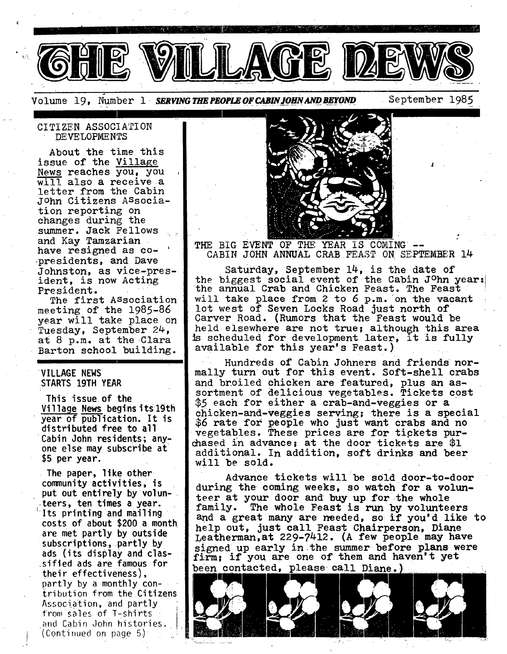

Volume 19. Number 1 *SERVING THE PEOPLE OF CABIN JOHN AND BEYOND* September 1985

i

## CITIZEN ASSOCIATI ON DEVELOPMENTS

About the time this issue of the Village News reaches you, you will also a receive a letter from the Cabin JOhn Citizens ASsociation reporting on changes during the summer. Jack Fellows and Kay Tamzarian have resigned as copresidents, and Dave Johnston, as vice-president, is now Acting President. '

The first ASsociation meeting of the 1985-86 year will take place on Tuesday, September 24, at  $8$  p.m. at the Clara Barton school building.

# **VILLAGE NEWS**  STARTS 19TH **YEAR**

This issue, of the Village News begins its19th year of publication. It is distributed free to all Cabin John residents; anyone else may subscribe at \$5 per year.

. The paper, like other  $\overline{\phantom{a}}$ community activities, is put out entirely by volun-.teers, ten times a year. Its printing and mailing costs of about \$200 a month are met partly by outside subscriptions,.partly by ads (its display and clas- ~sified ads are famous for their effectiveness), partly by a monthly contribution from the Citizens Association, and partly from sales of T-shirts and Cabin John histories. (Continued on page 5) ~



THE BIG EVENT OF THE YEAR IS COMING --CABIN JOHN ANNUAL CRAB FEAST ON SEPTEMBER 14

Saturday, September 14, is the date of the biggest social event of the Cabin John year: the annual Crab and Chicken Feast. The Feast will take place from 2 to 6 p.m. on the vacant lot west of Seven Locks Road just north of Carver Road. (Rumors that the Feast would be held elsewhere are not true; although this area is scheduled for development later, it is fully available for this year's Feast.)

Hundreds of Cabin Johners and friends normally turn out for this event. Soft-shell crabs and broiled chicken are featured, plus an assortment of delicious vegetables. Tickets cost \$5 each for either a crab-and-veggies or a chicken-and-veggies serving; there is a special \$6 rate for people who just want crabs and no vegetables. These prices are for tipkets purchased in advance; at the door tickets are  $$1$ additional. In addition, soft drinks and beer will be sold.

Advance tickets will be sold door-to-door during the coming weeks, so watch for a volunteer at your door and buy up for the whole<br>family. The whole Feast is run by volunte The whole Feast is run by volunteers and a great many are needed, so if you'd like to help out, just call Feast Chairperson, Diane Leatherman, at 229-7412. (A few people may have signed up early in the summer before plans were firm; if you are one of them and haven't yet been contacted, please call Diane.)

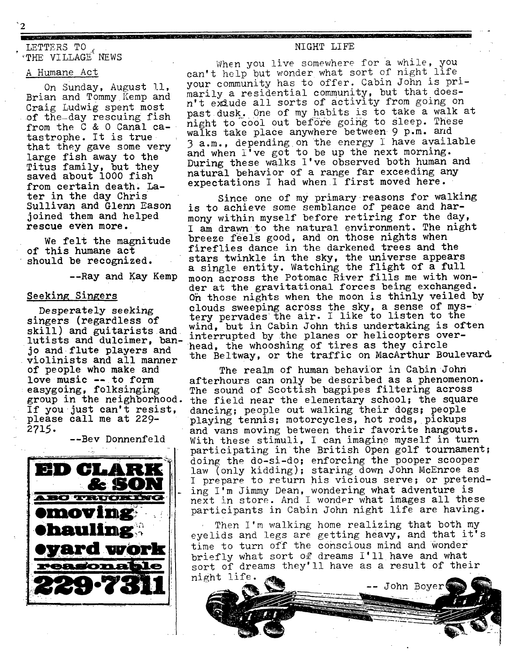# LETTERS TO THE VILLAGE NEWS

#### A Humane Act

'2

On Sunday, August 11, Brian and Tommy Kemp and Craig Ludwig spent most of the-day rescuing fish from the C & 0 Canal catastrophe. It is true that they gave some very large fish away to the Titus family, but they saved about 1000 fish from certain death. Later in the day **Chris Sullivan** and Glenn **Eason**  joined them and helped **rescue even more.** 

We felt the magnitude of this humane act should be recognized.

--Ray and Kay Kemp

# **Seeking Singers**

**Desperately seeking**  If you just can't resist, **please** call me at 229- 2715.

--Bev Donnenfeld



NIGHT LIFE

<u> 1989 - Antonio Antonio Alemania di Americano di Santono di Americano di Santonio al Indonesia di Santonio al</u>

When you live somewhere for a while, you can't help but wonder what sort of night life your community has to offer. Cabin John is primarily a residential community, but that doesn't exqude all sorts of activity from going on past dusk. One of my habits is to take a walk at night to cool out before going to sleep. These walks take place anywhere between 9 p.m. and 3 a.m., depending on the energy I have available and when  $1^{\dagger}$  ve got to be up the next morning. During these walks I've observed both human and natural behavior of a range far exceeding any expectations I had when I first moved here.

Since one of my primary reasons for walking is to achieve some semblance of peace and harmony within myself before retiring for the day, I am drawn to the natural environment. The night breeze feels good, and on those nights when fireflies dance in the darkened trees and the **stars** twinkle in the sky, the **universe appears**  a single entity. Watching the flight of a full moon across the Potomac River fills me with wonder at the gravitational forces being exchanged. 0h those nights when the moon is thinly veiled by clouds sweeping across the sky, a sense of myssingers (regardless of tery pervades the air. I like to listen to the shipped the sequences of wind, but in Cabin John this undertaking is often skill) and guitarists and wind, but in Cabin John this undertaking is often skill, and guitarists and interrupted by the planes or helicopters over-<br>lutists and dulcimer, ban- include wheeshing of times on their cimelo jo and flute players and head, the whooshing of tires as they circle violinists and all manner the Beltway, or the traffic on MacArthur Boulevard.

of people who make and The realm of human behavior in Cabin John<br>love music -- to form afterhours can only be described as a phenomen love music -- to form afterhours can only be described as a phenomenon.<br>easygoing, folksinging The sound of Scottish bagpipes filtering across easygoing, folksinging and sound of Scottish bagpipes filtering across<br>group in the neighborhood. the field near the elementary school; the square the field near the elementary school; the square dancing; people out walking their dogs; people playing tennis; motorcycles, hot rods, pickups and vans moving between their favorite hangouts. With these stimuli, I can imagine myself in turn participating in the British Open golf tournament; doing the do-si-do; enforcing the pooper scooper law (only kidding); staring down John McEnroe as I prepare to return his vicious serve; or pretending I'm jimmy Dean, wondering what adventure is next in store. And I wonder what images all these participants in Cabin John night life are having.

> Then I'm walking home realizing that both my eyelids and legs are getting heavy, and that it's time to turn off the conscious mind and wonder briefly what sort of dreams I'll have and what sort of dreams they'll have as a result of their

night life. -- John Boyer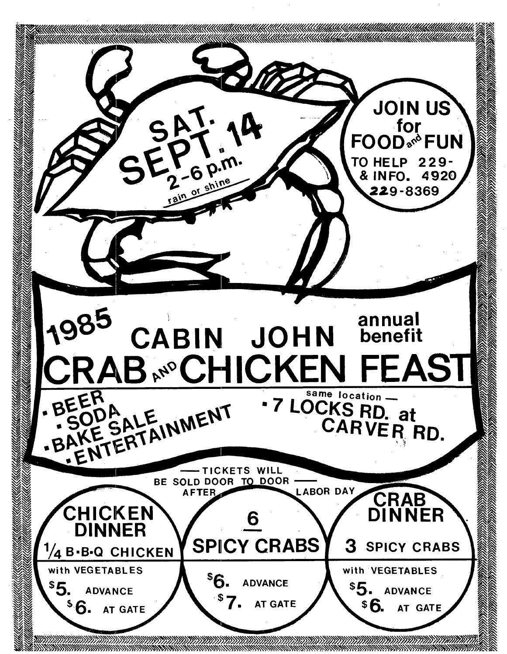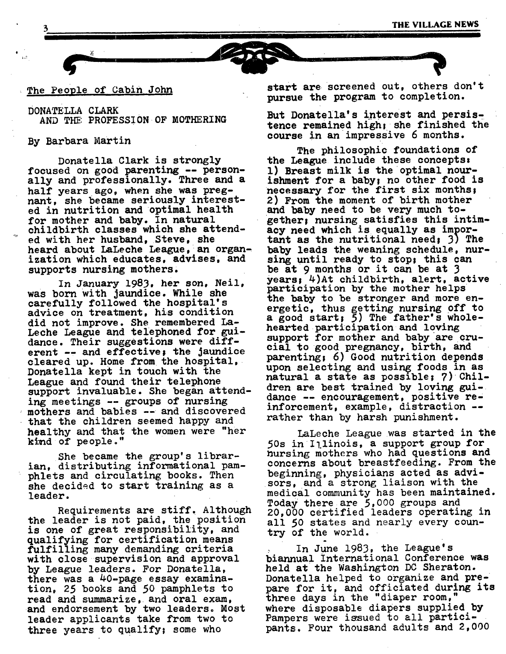## The People of Cabin John

DONATELLA CLARK AND THE PROFESSION OF MOTHERING

## By Barbara Martin

i,?

Donatella Clark is strongly focused on good parenting -- personally and professionally. Three and a half years ago, when she was pregnant, she became seriously interested in nutrition and optimal health for mother and baby. In natural childbirth classes which she attended with her husband, Steve, she heard about LaLeche League, an organization which educates, advises, and supports nursing mothers,

In January 1983, her son, Neil, was born with jaundice. While she carefully followed the hospital's advice on treatment, his condition did not improve. She remembered La-Leche League and telephoned for guidance. Their suggestions were different -- and effective; the jaundice cleared up. Home from the hospital. Donatella kept in touch with the League and found their telephone support invaluable. She began attending meetings -- groups of nursing mothers and babies --and discovered that the children seemed happy and healthy and that the women were "her kind of people."

She became the group's librarian, distributing informational pamphlets and circulating books. Then she decided to start training as a leader.

Requirements are stiff. Although the leader is not paid, the position is one of great responsibility, and qualifying for certification means fulfilling many demanding criteria with close supervision and approval by League leaders. For Donatella, there was a 40-page essay examination, 25 books and 50 pamphlets to read and summarize, and oral exam, and endorsement by two leaders. Most leader applicants take from two to three years to qualify; some who

start are screened out, others don't pursue the program to completion.

But Donatella's interest and persistence remained high; she finished the course in an impressive 6 months.

The philosophic foundations of the League include these concepts, l) Breast milk is the optimal nourishment for a baby; no other food is necessary for the first six months; 2) From the moment of birth mother and baby need to be very much together; nursing satisfies this intimacy need which is equally as important as the nutritional need: 3) The baby leads the weaning schedule, nursing until ready to stop; this can be at 9 months or it can be at 3 years! 4)At childbirth, alert, active participation by the mother helps the baby to be stronger and more energetic, thus getting nursing off to a good start;  $\bar{5}$ ) The father's wholehearted participation and loving support for mother and baby are crucial to good pregnancy, birth, and parenting; 6) Good nutrition depends upon selecting and using foods in as natural a state as possible;  $7)$  Children are best trained by loving guidance -- encouragement, positive reinforcement, example, distraction - rather than by harsh punishment.

LaLeche League was started in the 50s in Illinois, a support group for nursing mothers who had questions and concerns about breastfeeding. From the beginning, physicians acted as advisors, and a strong liaison with the medical community has been maintained. Today there are 5,000 groups and 20,000 certified leaders operating in all 50 states and nearly every country of the world.

• In June 1983, the League's biannual international Conference was held at the Washington DC Sheraton. Donatella helped to organize and prepare for it, and officiated during its three days in the "diaper room, where disposable diapers supplied by Pampers were issued to all participants, Four thousand adults and 2,000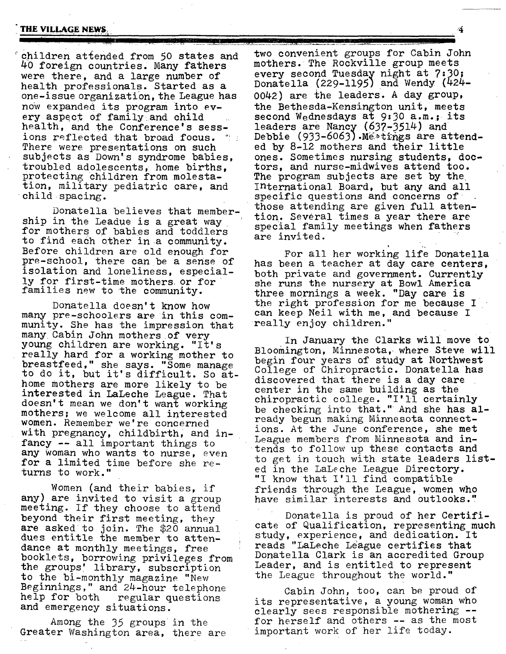#### **THE VILLAGE NEWS:**

..... i"

°children attended from 50 states and 40 foreign countries. Many fathers were there, and a large number of health professionals. Started as a one-issue organization, the League has now expanded its program into every aspect of family and child health, and the Conference's sessions reflected that broad focus.  $\mathbb{R}^n$ There were presentations on such subjects as Down's syndrome babies, troubled adolescents, home births, protecting Children from molestation, military pediatric care, and child spacing.

Donatella believes that membership in the Leadue is a great way for mothers of babies and toddlers to find each other in a community. Before children are old enough for pre-school, there can be a sense of isolation and loneliness, especially for first-time mothers or for families new to the community.

Donatella doesn't know how many pre-schoolers are in this community. She has the impression that many Cabin John mothers of very young children are working. "It's really hard for a working mother to breastfeed," she says. "Some manage to do it, but it's difficult. So athome mothers are more likely to be interested in LaLeche League. That doesn't mean we don't want working mothers; we welcome all interested women. Remember we're concerned with pregnancy, childbirth, and infancy -- all important things to any Woman who wants to nurse, even for a limited time before she returns to work."

Women (and their babies, if any) are invited to visit a group meeting. If they choose to attend beyond their first meeting, they are asked to join. The  $$20$  annual dues entitle the member to attendance at monthly meetings, free booklets, borrowing privileges from the groups' library, subscription to the bi-monthly magazine "New Beginnings," and 24-hour telephone help for both regular questions and emergency situations.

Among the 35 groups in the Greater Washington area, there are

two convenient groups for Cabin John mothers. The Rockville group meets every second Tuesday night at 7:30; Donatella (229-1195) and Wendy (424 0042) are the leaders. A day group, the Bethesda-Kensington unit, meets second Wednesdays at 9:30 a.m.; its leaders are Nancy (637-3514) and Debbie (933-6063).Me>tings are attended by 8-12 mothers and their little ones. Sometimes nursing students, doctors, and nurse-midwives attend too. The program subjects are set by the international Board, but any and all specific questions and concerns of those attending are given full attention. Several times a year there are special family meetings when fathers are invited.

For all her working life Donatella has been a teacher at day care centers, both private and government. Currently she runs the nursery at Bowl America three mornings a week. "Day care is the right profession for me because I can keep Neil with me, and because I really enjoy children."

In January the Clarke will move to Bloomington, Minnesota, where Steve will begin four years of study at Northwest College of Chiropractic. Donatella has discovered that there is a day care center in the same building as the chiropractic college. "I'll certainly be checking into that." And she has already begun making Minnesota connections. At the June conference, she met League members from Minnesota and  $in$ tends to follow up these contacts and to get in touch with state leaders listed in the LaLeche League Directory. "I know that I'll find compatible friends through the League, women who have similar interests and outlooks."

Donatella is proud of her Certificate of Qualification, representing much study, experience, and dedication. It reads "LaLeche League certifies that Donatella Clark is an accredited Group Leader, and is entitled to represent the League throughout the world."

Cabin John, too, can be proud of its representative, a young woman who clearly sees responsible mothering - for herself and others -- as the most important work of her life today.

**4**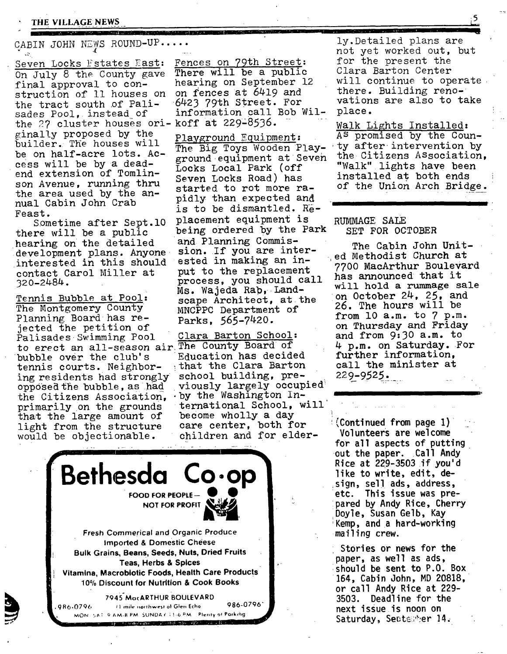THE VILLAGE NEWS

**MARKET AND RESIDENCE OF A** CABIN JOHN NEWS ROUND-UP....

Seven Locks  $Estates$   $\overline{East}:$   $\overline{Fences}$  on 79th Street:<br>On  $\overline{Lull}$   $B$  the County gave There will be a public On July 8 the County gave There will be a public<br>final approval to con-<br>hearing on September 12 final approval to con-<br>struction of 11 houses on on fences at 6419 and struction of 11 houses on on fences at 6419 and<br>the tract south of Pali- 6423 79th Street. For the tract south of Pali- 6423 79th Street. For<br>sades Pool, instead of information call Bob Wilsades Pool, instead of the  $27$  cluster houses ori-koff at 229-8536. ginal!y proposed by the builder. The houses will be on half-acre lots. Access will be by a deadend extension of Tomlinson Avenue, running thru the area used by the annual Cabin John Crab Feast.

Sometime after Sept.10 there will be a public hearing on the detailed and Planning Commis-<br>development plans. Anyone sion. If you are interdevelopment plans. Anyone sion. If you are inter<br>interested in this should ested in making an ininterested in this should ested in making an incontact Carol Miller at 320-2484.

Tennis Bubble at Pool: The Montgomery County Planning Board has rejected the petition of Palisades Swimming Pool Clara Barton School: to erect an all-season air The County Board of<br>bubble over the club's Education has decided bubble over the club's Education has decided<br>tennis courts. Neighbor- that the Clara Barton tennis courts. Neighbor- : that the Clara Barton<br>ing residents had strongly school building, preing residents had strongly school building, pre-<br>opposed the bubble, as had viously largely occupied opposed the bubble, as had viously largely occup<br>the Citizens Association, by the Washington Inthe Citizens Association, primarily on the grounds that the large amount of light from the structure would be objectionable.

The Big Toys Wooden Play- ty after intervention by<br>ground equipment at Seven the Citizens Association, ground equipment at Seven Locks Local Park (off Seven Locks Road) has started to rot more rapidly than expected and is to be dismantled. Replacement equipment is being ordered by the Park process, you should call Ms. Wajeda Rab, Landscape Architect, at the MNCPPC Department of Parks, 565-7420.

ternational School, will become wholly a day care center, both for children and for elder-

i. Bethesda Co.op **FOOD FOR PEOPLE-NOT FOR PROFIT Fresh Commerical and Organic Produce**  Imported & Domestic Cheese **Bulk Grains, Beans, Seeds, Nuts, Dried Fruits Teas, Herbs & Spices Vltamina, Macrobiotic Foods, Health Care Products 10% Discount for Nutrition & Cook Books 7945"MocARTHUR BOULEVARD**  9R6-0706 , ) mile **.orthwes! ot G|e~ Echo** 986-0796" MON SAT FAM-8 PM SUNDAY 11-6 PM Plenty of Porking

**The Contract of Act of Act of Act of Act of Act of Act of Act of Act of Act of Act of Act of Act of Act of Act** 

ly.Detailed plans are not yet worked out, but for the present the Clara Barton Center will continue to operate there. Building renovations are also to take place.

Walk Lights Installed: Playground Equipment: As promised by the Coun-"Walk" lights have been installed at both ends of the Union Arch Bridge.

## RUMMAGE SALE SET FOR OCTOBER

The Cabin John United Methodist Church at 7700 MacArthur Boulevard has announced that it will hold a rummage sale on October 24, 25, and 26. The hours will be from l0 a.m. to 7 p.m. on Thursday and Friday and from 9:30 a.m. to 4 p.m. on Saturday. For further information, call the minister at 229-9525.

**(Continued from page** I) i\_ Volunteers are welcome for all aspects of putting out the paper. Call **Andy**  Rice at 229-3503 if **you'd**  like to write, edit, de sign, sell ads, address. etc. This issue was prepared by Andy Rice, Cherry Doyle, Susan Gelb, **Kay =Kemp, and a** hard-working mailing crew.

Stories or news for **the**  paper, as well as ads, ishould be sent to P.O. Box 164, Cabin John, MD 20818, or call Andy Rice at 229- 3503. Deadline for **the**  next issue is **noon on**  Saturday, Sentember 14.